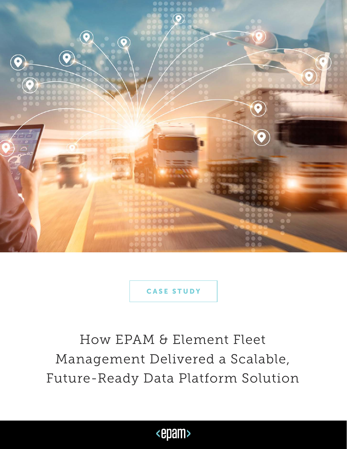

How EPAM & Element Fleet Management Delivered a Scalable, Future-Ready Data Platform Solution

<epam>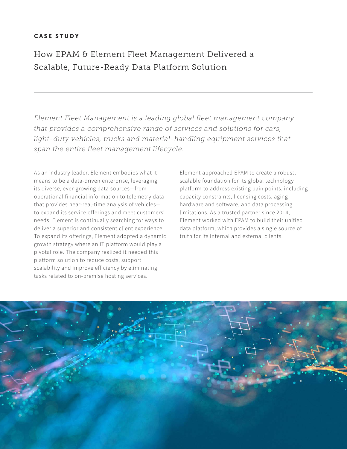How EPAM & Element Fleet Management Delivered a Scalable, Future-Ready Data Platform Solution

*Element Fleet Management is a leading global fleet management company that provides a comprehensive range of services and solutions for cars, light-duty vehicles, trucks and material-handling equipment services that span the entire fleet management lifecycle.*

As an industry leader, Element embodies what it means to be a data-driven enterprise, leveraging its diverse, ever-growing data sources—from operational financial information to telemetry data that provides near-real-time analysis of vehicles to expand its service offerings and meet customers' needs. Element is continually searching for ways to deliver a superior and consistent client experience. To expand its offerings, Element adopted a dynamic growth strategy where an IT platform would play a pivotal role. The company realized it needed this platform solution to reduce costs, support scalability and improve efficiency by eliminating tasks related to on-premise hosting services.

Element approached EPAM to create a robust, scalable foundation for its global technology platform to address existing pain points, including capacity constraints, licensing costs, aging hardware and software, and data processing limitations. As a trusted partner since 2014, Element worked with EPAM to build their unified data platform, which provides a single source of truth for its internal and external clients.

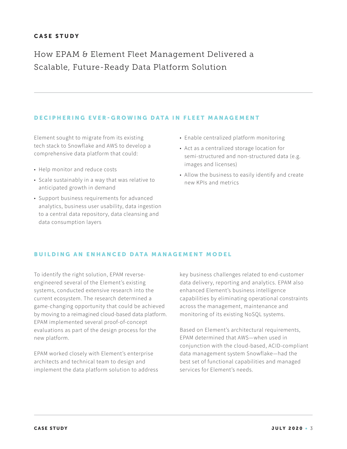How EPAM & Element Fleet Management Delivered a Scalable, Future-Ready Data Platform Solution

#### DECIPHERING EVER-GROWING DATA IN FLEET MANAGEMENT

Element sought to migrate from its existing tech stack to Snowflake and AWS to develop a comprehensive data platform that could:

- Help monitor and reduce costs
- Scale sustainably in a way that was relative to anticipated growth in demand
- Support business requirements for advanced analytics, business user usability, data ingestion to a central data repository, data cleansing and data consumption layers
- Enable centralized platform monitoring
- Act as a centralized storage location for semi-structured and non-structured data (e.g. images and licenses)
- Allow the business to easily identify and create new KPIs and metrics

## BUILDING AN ENHANCED DATA MANAGEMENT MODEL

To identify the right solution, EPAM reverseengineered several of the Element's existing systems, conducted extensive research into the current ecosystem. The research determined a game-changing opportunity that could be achieved by moving to a reimagined cloud-based data platform. EPAM implemented several proof-of-concept evaluations as part of the design process for the new platform.

EPAM worked closely with Element's enterprise architects and technical team to design and implement the data platform solution to address

key business challenges related to end-customer data delivery, reporting and analytics. EPAM also enhanced Element's business intelligence capabilities by eliminating operational constraints across the management, maintenance and monitoring of its existing NoSQL systems.

Based on Element's architectural requirements, EPAM determined that AWS—when used in conjunction with the cloud-based, ACID-compliant data management system Snowflake—had the best set of functional capabilities and managed services for Element's needs.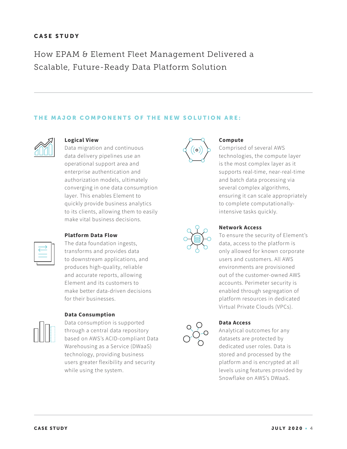How EPAM & Element Fleet Management Delivered a Scalable, Future-Ready Data Platform Solution

## THE MAJOR COMPONENTS OF THE NEW SOLUTION ARE:



#### **Logical View**

Data migration and continuous data delivery pipelines use an operational support area and enterprise authentication and authorization models, ultimately converging in one data consumption layer. This enables Element to quickly provide business analytics to its clients, allowing them to easily make vital business decisions.

#### **Platform Data Flow**

The data foundation ingests, transforms and provides data to downstream applications, and produces high-quality, reliable and accurate reports, allowing Element and its customers to make better data-driven decisions for their businesses.

# **Data Consumption**

Data consumption is supported through a central data repository based on AWS's ACID-compliant Data Warehousing as a Service (DWaaS) technology, providing business users greater flexibility and security while using the system.



#### **Compute**

Comprised of several AWS technologies, the compute layer is the most complex layer as it supports real-time, near-real-time and batch data processing via several complex algorithms, ensuring it can scale appropriately to complete computationallyintensive tasks quickly.



## **Network Access**

To ensure the security of Element's data, access to the platform is only allowed for known corporate users and customers. All AWS environments are provisioned out of the customer-owned AWS accounts. Perimeter security is enabled through segregation of platform resources in dedicated Virtual Private Clouds (VPCs).



#### **Data Access**

Analytical outcomes for any datasets are protected by dedicated user roles. Data is stored and processed by the platform and is encrypted at all levels using features provided by Snowflake on AWS's DWaaS.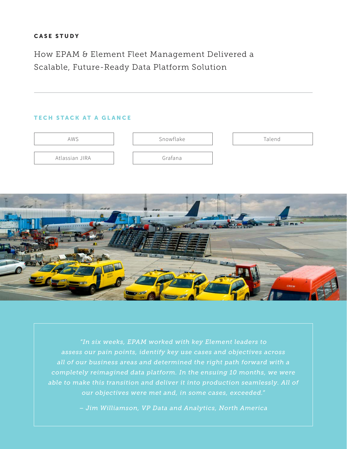How EPAM & Element Fleet Management Delivered a Scalable, Future-Ready Data Platform Solution

# TECH STACK AT A GLANCE





*"In six weeks, EPAM worked with key Element leaders to assess our pain points, identify key use cases and objectives across all of our business areas and determined the right path forward with a completely reimagined data platform. In the ensuing 10 months, we were able to make this transition and deliver it into production seamlessly. All of our objectives were met and, in some cases, exceeded."*

*– Jim Williamson, VP Data and Analytics, North America*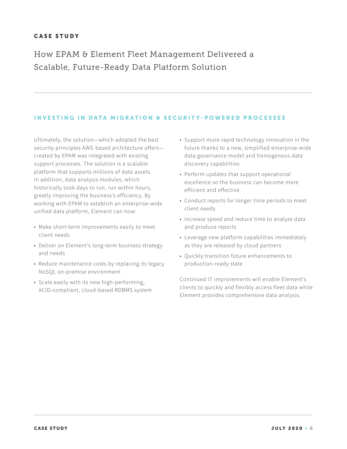How EPAM & Element Fleet Management Delivered a Scalable, Future-Ready Data Platform Solution

## INVESTING IN DATA MIGRATION & SECURITY-POWERED PROCESSES

Ultimately, the solution—which adopted the best security principles AWS-based architecture offers created by EPAM was integrated with existing support processes. The solution is a scalable platform that supports millions of data assets. In addition, data analysis modules, which historically took days to run, run within hours, greatly improving the business's efficiency. By working with EPAM to establish an enterprise-wide unified data platform, Element can now:

- Make short-term improvements easily to meet client needs
- Deliver on Element's long-term business strategy and needs
- Reduce maintenance costs by replacing its legacy NoSQL on-premise environment
- Scale easily with its new high-performing, ACID-compliant, cloud-based RDBMS system
- Support more rapid technology innovation in the future thanks to a new, simplified enterprise-wide data governance model and homogenous data discovery capabilities
- Perform updates that support operational excellence so the business can become more efficient and effective
- Conduct reports for longer time periods to meet client needs
- Increase speed and reduce time to analyze data and produce reports
- Leverage new platform capabilities immediately as they are released by cloud partners
- Quickly transition future enhancements to production-ready state

Continued IT improvements will enable Element's clients to quickly and flexibly access fleet data while Element provides comprehensive data analysis.